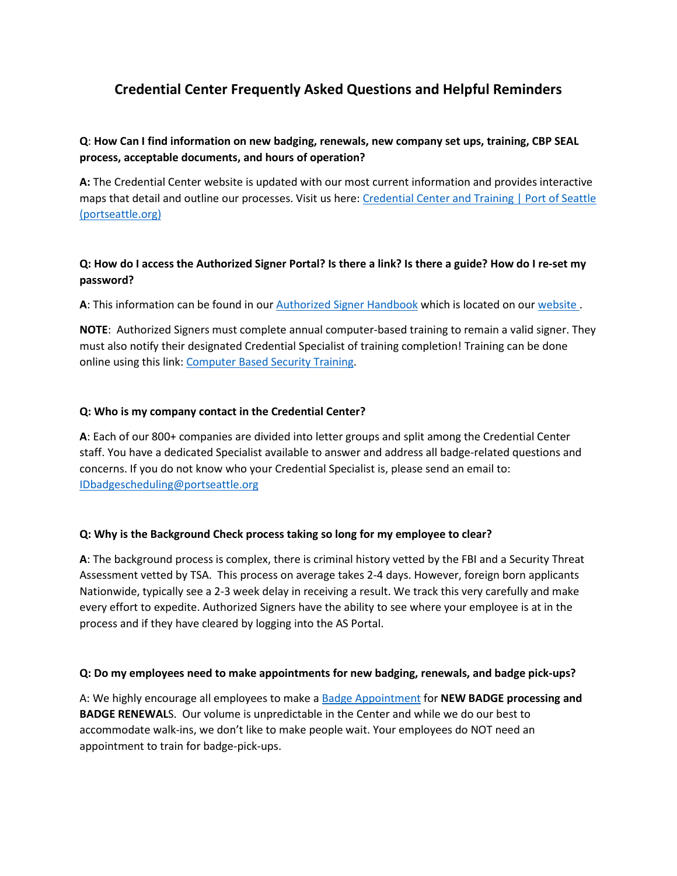# **Credential Center Frequently Asked Questions and Helpful Reminders**

## **Q**: **How Can I find information on new badging, renewals, new company set ups, training, CBP SEAL process, acceptable documents, and hours of operation?**

**A:** The Credential Center website is updated with our most current information and provides interactive maps that detail and outline our processes. Visit us here: [Credential Center and Training | Port of Seattle](https://www.portseattle.org/employee-services/credentials-trainings)  [\(portseattle.org\)](https://www.portseattle.org/employee-services/credentials-trainings)

## **Q: How do I access the Authorized Signer Portal? Is there a link? Is there a guide? How do I re-set my password?**

**A**: This information can be found in our [Authorized Signer Handbook](https://www.portseattle.org/sites/default/files/2021-04/AS%20Portal%20Handbook%20MAR2020.pdf) which is located on our [website .](https://www.portseattle.org/employee-services/credentials-trainings)

**NOTE**: Authorized Signers must complete annual computer-based training to remain a valid signer. They must also notify their designated Credential Specialist of training completion! Training can be done online using this link[: Computer Based Security Training.](https://sea.iet-ls.com/Account/Login)

#### **Q: Who is my company contact in the Credential Center?**

**A**: Each of our 800+ companies are divided into letter groups and split among the Credential Center staff. You have a dedicated Specialist available to answer and address all badge-related questions and concerns. If you do not know who your Credential Specialist is, please send an email to: [IDbadgescheduling@portseattle.org](mailto:IDbadgescheduling@portseattle.org)

#### **Q: Why is the Background Check process taking so long for my employee to clear?**

**A**: The background process is complex, there is criminal history vetted by the FBI and a Security Threat Assessment vetted by TSA. This process on average takes 2-4 days. However, foreign born applicants Nationwide, typically see a 2-3 week delay in receiving a result. We track this very carefully and make every effort to expedite. Authorized Signers have the ability to see where your employee is at in the process and if they have cleared by logging into the AS Portal.

#### **Q: Do my employees need to make appointments for new badging, renewals, and badge pick-ups?**

A: We highly encourage all employees to make a [Badge Appointment](https://hosting.portseattle.org/apptque) for **NEW BADGE processing and BADGE RENEWAL**S. Our volume is unpredictable in the Center and while we do our best to accommodate walk-ins, we don't like to make people wait. Your employees do NOT need an appointment to train for badge-pick-ups.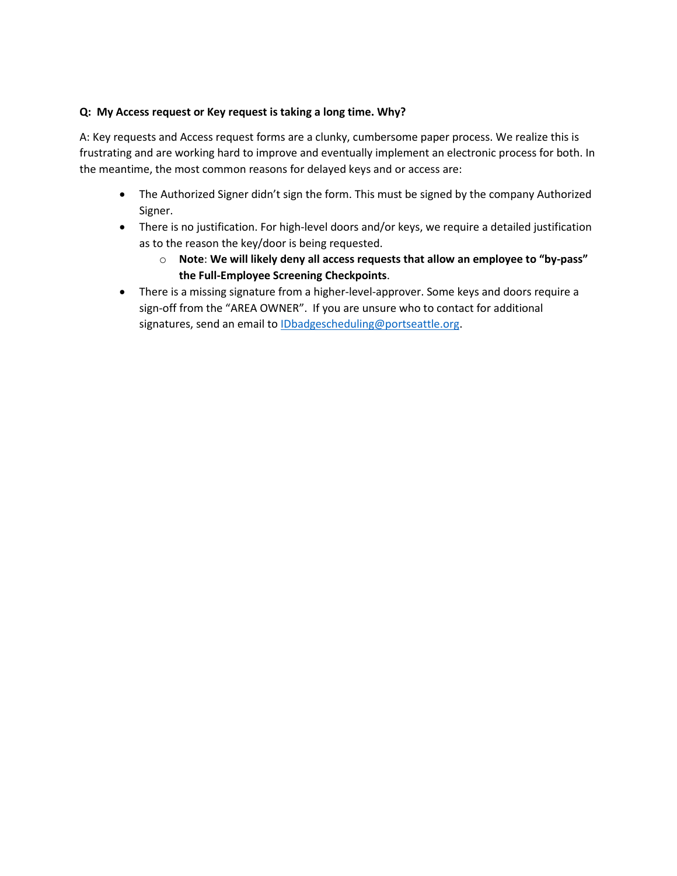#### **Q: My Access request or Key request is taking a long time. Why?**

A: Key requests and Access request forms are a clunky, cumbersome paper process. We realize this is frustrating and are working hard to improve and eventually implement an electronic process for both. In the meantime, the most common reasons for delayed keys and or access are:

- The Authorized Signer didn't sign the form. This must be signed by the company Authorized Signer.
- There is no justification. For high-level doors and/or keys, we require a detailed justification as to the reason the key/door is being requested.
	- o **Note**: **We will likely deny all access requests that allow an employee to "by-pass" the Full-Employee Screening Checkpoints**.
- There is a missing signature from a higher-level-approver. Some keys and doors require a sign-off from the "AREA OWNER". If you are unsure who to contact for additional signatures, send an email to [IDbadgescheduling@portseattle.org.](mailto:IDbadgescheduling@portseattle.org)